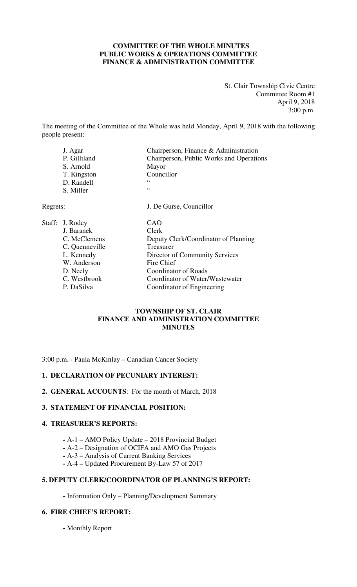#### **COMMITTEE OF THE WHOLE MINUTES PUBLIC WORKS & OPERATIONS COMMITTEE FINANCE & ADMINISTRATION COMMITTEE**

St. Clair Township Civic Centre Committee Room #1 April 9, 2018 3:00 p.m.

The meeting of the Committee of the Whole was held Monday, April 9, 2018 with the following people present:

|          | J. Agar<br>P. Gilliland<br>S. Arnold<br>T. Kingston<br>D. Randell | Chairperson, Finance & Administration<br>Chairperson, Public Works and Operations<br>Mayor<br>Councillor<br>66 |
|----------|-------------------------------------------------------------------|----------------------------------------------------------------------------------------------------------------|
|          | S. Miller                                                         | 66                                                                                                             |
| Regrets: |                                                                   | J. De Gurse, Councillor                                                                                        |
|          | Staff: J. Rodey<br>J. Baranek                                     | CAO<br>Clerk                                                                                                   |
|          | C. McClemens<br>C. Quenneville                                    | Deputy Clerk/Coordinator of Planning<br>Treasurer                                                              |
|          | L. Kennedy<br>W. Anderson                                         | Director of Community Services<br>Fire Chief                                                                   |
|          | D. Neely                                                          | <b>Coordinator of Roads</b>                                                                                    |

# C. Westbrook Coordinator of Water/Wastewater<br>
P. DaSilva Coordinator of Engineering Coordinator of Engineering

#### **TOWNSHIP OF ST. CLAIR FINANCE AND ADMINISTRATION COMMITTEE MINUTES**

3:00 p.m. - Paula McKinlay – Canadian Cancer Society

#### **1. DECLARATION OF PECUNIARY INTEREST:**

**2. GENERAL ACCOUNTS**: For the month of March, 2018

#### **3. STATEMENT OF FINANCIAL POSITION:**

#### **4. TREASURER'S REPORTS:**

- **-** A-1 AMO Policy Update 2018 Provincial Budget
- **-** A-2 Designation of OCIFA and AMO Gas Projects
- **-** A-3 Analysis of Current Banking Services
- **-** A-4 **–** Updated Procurement By-Law 57 of 2017

### **5. DEPUTY CLERK/COORDINATOR OF PLANNING'S REPORT:**

**-** Information Only – Planning/Development Summary

#### **6. FIRE CHIEF'S REPORT:**

 **-** Monthly Report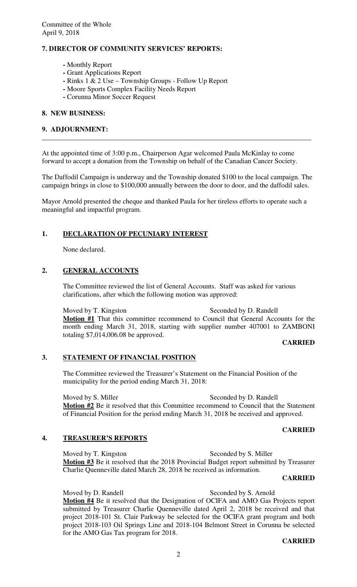#### **7. DIRECTOR OF COMMUNITY SERVICES' REPORTS:**

- **-** Monthly Report
- Grant Applications Report
- **-** Rinks 1 & 2 Use Township Groups Follow Up Report
- **-** Moore Sports Complex Facility Needs Report
- **-** Corunna Minor Soccer Request

#### **8. NEW BUSINESS:**

#### **9. ADJOURNMENT:**

At the appointed time of 3:00 p.m., Chairperson Agar welcomed Paula McKinlay to come forward to accept a donation from the Township on behalf of the Canadian Cancer Society.

The Daffodil Campaign is underway and the Township donated \$100 to the local campaign. The campaign brings in close to \$100,000 annually between the door to door, and the daffodil sales.

**\_\_\_\_\_\_\_\_\_\_\_\_\_\_\_\_\_\_\_\_\_\_\_\_\_\_\_\_\_\_\_\_\_\_\_\_\_\_\_\_\_\_\_\_\_\_\_\_\_\_\_\_\_\_\_\_\_\_\_\_\_\_\_\_\_\_\_\_\_\_\_\_\_\_\_\_\_** 

Mayor Arnold presented the cheque and thanked Paula for her tireless efforts to operate such a meaningful and impactful program.

#### **1. DECLARATION OF PECUNIARY INTEREST**

None declared.

#### **2. GENERAL ACCOUNTS**

The Committee reviewed the list of General Accounts. Staff was asked for various clarifications, after which the following motion was approved:

#### Moved by T. Kingston Seconded by D. Randell

**Motion #1** That this committee recommend to Council that General Accounts for the month ending March 31, 2018, starting with supplier number 407001 to ZAMBONI totaling \$7,014,006.08 be approved.

#### **CARRIED**

#### **3. STATEMENT OF FINANCIAL POSITION**

The Committee reviewed the Treasurer's Statement on the Financial Position of the municipality for the period ending March 31, 2018:

Moved by S. Miller Seconded by D. Randell **Motion #2** Be it resolved that this Committee recommend to Council that the Statement of Financial Position for the period ending March 31, 2018 be received and approved.

#### **CARRIED**

#### **4. TREASURER'S REPORTS**

Moved by T. Kingston Seconded by S. Miller **Motion #3** Be it resolved that the 2018 Provincial Budget report submitted by Treasurer Charlie Quenneville dated March 28, 2018 be received as information.

#### **CARRIED**

#### Moved by D. Randell Seconded by S. Arnold **Motion #4** Be it resolved that the Designation of OCIFA and AMO Gas Projects report submitted by Treasurer Charlie Quenneville dated April 2, 2018 be received and that project 2018-101 St. Clair Parkway be selected for the OCIFA grant program and both project 2018-103 Oil Springs Line and 2018-104 Belmont Street in Corunna be selected for the AMO Gas Tax program for 2018.

# **CARRIED**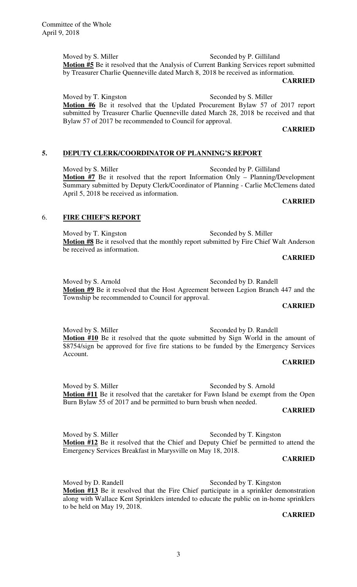Committee of the Whole April 9, 2018

> Moved by S. Miller Seconded by P. Gilliland **Motion #5** Be it resolved that the Analysis of Current Banking Services report submitted by Treasurer Charlie Quenneville dated March 8, 2018 be received as information.

#### **CARRIED**

Moved by T. Kingston Seconded by S. Miller

**Motion #6** Be it resolved that the Updated Procurement Bylaw 57 of 2017 report submitted by Treasurer Charlie Quenneville dated March 28, 2018 be received and that Bylaw 57 of 2017 be recommended to Council for approval.

#### **CARRIED**

#### **5. DEPUTY CLERK/COORDINATOR OF PLANNING'S REPORT**

Moved by S. Miller Seconded by P. Gilliland **Motion #7** Be it resolved that the report Information Only – Planning/Development Summary submitted by Deputy Clerk/Coordinator of Planning - Carlie McClemens dated April 5, 2018 be received as information.

#### **CARRIED**

#### 6. **FIRE CHIEF'S REPORT**

Moved by T. Kingston Seconded by S. Miller **Motion #8** Be it resolved that the monthly report submitted by Fire Chief Walt Anderson be received as information.

#### **CARRIED**

Moved by S. Arnold Seconded by D. Randell **Motion #9** Be it resolved that the Host Agreement between Legion Branch 447 and the Township be recommended to Council for approval.

#### **CARRIED**

Moved by S. Miller Seconded by D. Randell

**Motion #10** Be it resolved that the quote submitted by Sign World in the amount of \$8754/sign be approved for five fire stations to be funded by the Emergency Services Account.

#### **CARRIED**

Moved by S. Miller Seconded by S. Arnold **Motion #11** Be it resolved that the caretaker for Fawn Island be exempt from the Open Burn Bylaw 55 of 2017 and be permitted to burn brush when needed.

#### **CARRIED**

Moved by S. Miller Seconded by T. Kingston **Motion #12** Be it resolved that the Chief and Deputy Chief be permitted to attend the Emergency Services Breakfast in Marysville on May 18, 2018.

#### **CARRIED**

Moved by D. Randell Seconded by T. Kingston **Motion #13** Be it resolved that the Fire Chief participate in a sprinkler demonstration along with Wallace Kent Sprinklers intended to educate the public on in-home sprinklers to be held on May 19, 2018.

#### **CARRIED**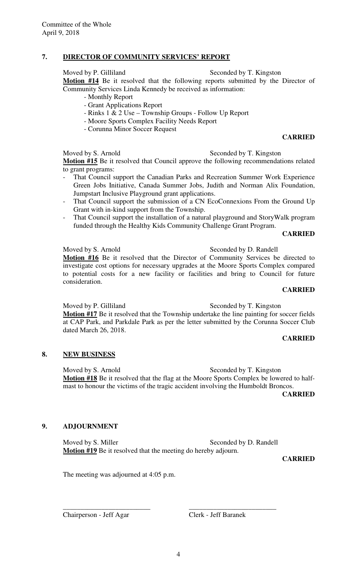### **7. DIRECTOR OF COMMUNITY SERVICES' REPORT**

Moved by P. Gilliland Seconded by T. Kingston

**Motion #14** Be it resolved that the following reports submitted by the Director of Community Services Linda Kennedy be received as information:

- Monthly Report
- Grant Applications Report
- Rinks 1 & 2 Use Township Groups Follow Up Report
- Moore Sports Complex Facility Needs Report
- Corunna Minor Soccer Request

#### **CARRIED**

Moved by S. Arnold Seconded by T. Kingston

**Motion #15** Be it resolved that Council approve the following recommendations related to grant programs:

- That Council support the Canadian Parks and Recreation Summer Work Experience Green Jobs Initiative, Canada Summer Jobs, Judith and Norman Alix Foundation, Jumpstart Inclusive Playground grant applications.
- That Council support the submission of a CN EcoConnexions From the Ground Up Grant with in-kind support from the Township.
- That Council support the installation of a natural playground and StoryWalk program funded through the Healthy Kids Community Challenge Grant Program.

#### **CARRIED**

Moved by S. Arnold Seconded by D. Randell **Motion #16** Be it resolved that the Director of Community Services be directed to investigate cost options for necessary upgrades at the Moore Sports Complex compared to potential costs for a new facility or facilities and bring to Council for future consideration.

#### **CARRIED**

Moved by P. Gilliland Seconded by T. Kingston

**Motion #17** Be it resolved that the Township undertake the line painting for soccer fields at CAP Park, and Parkdale Park as per the letter submitted by the Corunna Soccer Club dated March 26, 2018.

#### **CARRIED**

#### **8. NEW BUSINESS**

Moved by S. Arnold Seconded by T. Kingston **Motion #18** Be it resolved that the flag at the Moore Sports Complex be lowered to halfmast to honour the victims of the tragic accident involving the Humboldt Broncos.

**CARRIED** 

#### **9. ADJOURNMENT**

Moved by S. Miller Seconded by D. Randell **Motion #19** Be it resolved that the meeting do hereby adjourn.

\_\_\_\_\_\_\_\_\_\_\_\_\_\_\_\_\_\_\_\_\_\_\_\_\_ \_\_\_\_\_\_\_\_\_\_\_\_\_\_\_\_\_\_\_\_\_\_\_\_\_

**CARRIED** 

The meeting was adjourned at 4:05 p.m.

Chairperson - Jeff Agar Clerk - Jeff Baranek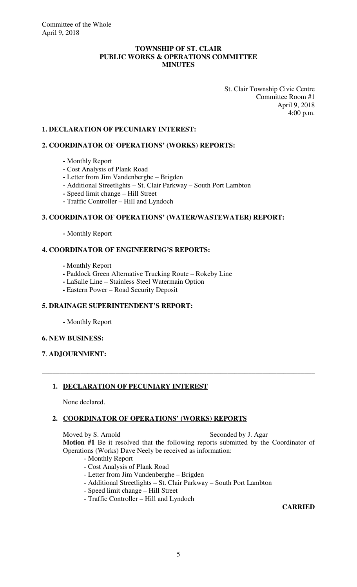#### **TOWNSHIP OF ST. CLAIR PUBLIC WORKS & OPERATIONS COMMITTEE MINUTES**

 St. Clair Township Civic Centre Committee Room #1 April 9, 2018 4:00 p.m.

### **1. DECLARATION OF PECUNIARY INTEREST:**

#### **2. COORDINATOR OF OPERATIONS' (WORKS) REPORTS:**

- Monthly Report
- **-** Cost Analysis of Plank Road
- **-** Letter from Jim Vandenberghe Brigden
- **-** Additional Streetlights St. Clair Parkway South Port Lambton
- **-** Speed limit change Hill Street
- **-** Traffic Controller Hill and Lyndoch

#### **3. COORDINATOR OF OPERATIONS' (WATER/WASTEWATER) REPORT:**

 **-** Monthly Report

#### **4. COORDINATOR OF ENGINEERING'S REPORTS:**

- **-** Monthly Report
- Paddock Green Alternative Trucking Route Rokeby Line
- LaSalle Line Stainless Steel Watermain Option
- **-** Eastern Power Road Security Deposit

# **5. DRAINAGE SUPERINTENDENT'S REPORT:**

 **-** Monthly Report

#### **6. NEW BUSINESS:**

#### **7**. **ADJOURNMENT:**

### **1. DECLARATION OF PECUNIARY INTEREST**

None declared.

#### **2. COORDINATOR OF OPERATIONS' (WORKS) REPORTS**

Moved by S. Arnold Seconded by J. Agar

**Motion #1** Be it resolved that the following reports submitted by the Coordinator of Operations (Works) Dave Neely be received as information:

- Monthly Report
- Cost Analysis of Plank Road
- Letter from Jim Vandenberghe Brigden
- Additional Streetlights St. Clair Parkway South Port Lambton

**\_\_\_\_\_\_\_\_\_\_\_\_\_\_\_\_\_\_\_\_\_\_\_\_\_\_\_\_\_\_\_\_\_\_\_\_\_\_\_\_\_\_\_\_\_\_\_\_\_\_\_\_\_\_\_\_\_\_\_\_\_\_\_\_\_\_\_\_\_\_\_\_\_\_\_\_\_\_** 

- Speed limit change Hill Street
- Traffic Controller Hill and Lyndoch

#### **CARRIED**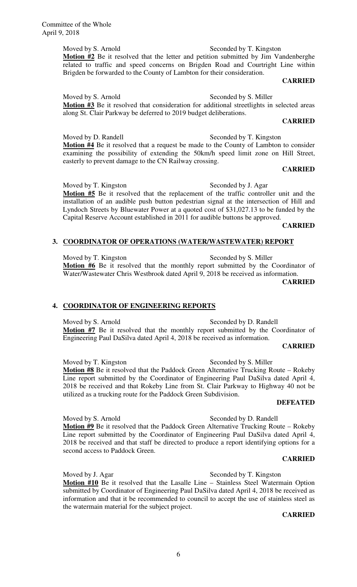Committee of the Whole April 9, 2018

> Moved by S. Arnold Seconded by T. Kingston **Motion #2** Be it resolved that the letter and petition submitted by Jim Vandenberghe related to traffic and speed concerns on Brigden Road and Courtright Line within Brigden be forwarded to the County of Lambton for their consideration.

#### **CARRIED**

Moved by S. Arnold Seconded by S. Miller Motion #3 Be it resolved that consideration for additional streetlights in selected areas along St. Clair Parkway be deferred to 2019 budget deliberations.

#### **CARRIED**

Moved by D. Randell Seconded by T. Kingston **Motion #4** Be it resolved that a request be made to the County of Lambton to consider examining the possibility of extending the 50km/h speed limit zone on Hill Street, easterly to prevent damage to the CN Railway crossing.

# **CARRIED**

Moved by T. Kingston Seconded by J. Agar **Motion #5** Be it resolved that the replacement of the traffic controller unit and the installation of an audible push button pedestrian signal at the intersection of Hill and Lyndoch Streets by Bluewater Power at a quoted cost of \$31,027.13 to be funded by the Capital Reserve Account established in 2011 for audible buttons be approved.

#### **CARRIED**

#### **3. COORDINATOR OF OPERATIONS (WATER/WASTEWATER) REPORT**

Moved by T. Kingston Seconded by S. Miller Motion **#6** Be it resolved that the monthly report submitted by the Coordinator of Water/Wastewater Chris Westbrook dated April 9, 2018 be received as information.

**CARRIED** 

#### **4. COORDINATOR OF ENGINEERING REPORTS**

Moved by S. Arnold Seconded by D. Randell **Motion #7** Be it resolved that the monthly report submitted by the Coordinator of Engineering Paul DaSilva dated April 4, 2018 be received as information.

#### **CARRIED**

Moved by T. Kingston Seconded by S. Miller **Motion #8** Be it resolved that the Paddock Green Alternative Trucking Route – Rokeby Line report submitted by the Coordinator of Engineering Paul DaSilva dated April 4, 2018 be received and that Rokeby Line from St. Clair Parkway to Highway 40 not be utilized as a trucking route for the Paddock Green Subdivision.

#### **DEFEATED**

**Motion #9** Be it resolved that the Paddock Green Alternative Trucking Route – Rokeby Line report submitted by the Coordinator of Engineering Paul DaSilva dated April 4, 2018 be received and that staff be directed to produce a report identifying options for a second access to Paddock Green.

#### **CARRIED**

Moved by J. Agar Seconded by T. Kingston **Motion #10** Be it resolved that the Lasalle Line – Stainless Steel Watermain Option submitted by Coordinator of Engineering Paul DaSilva dated April 4, 2018 be received as information and that it be recommended to council to accept the use of stainless steel as the watermain material for the subject project.

#### **CARRIED**

Moved by S. Arnold Seconded by D. Randell